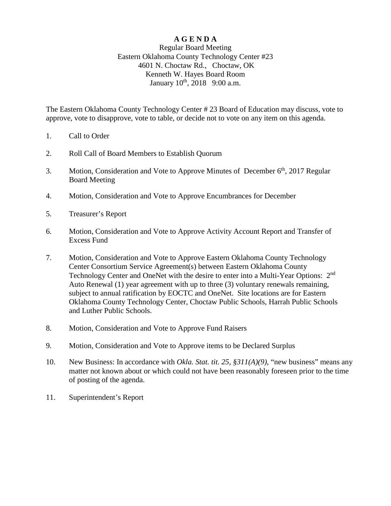## **A G E N D A**

## Regular Board Meeting Eastern Oklahoma County Technology Center #23 4601 N. Choctaw Rd., Choctaw, OK Kenneth W. Hayes Board Room January  $10^{th}$ ,  $2018$  9:00 a.m.

The Eastern Oklahoma County Technology Center # 23 Board of Education may discuss, vote to approve, vote to disapprove, vote to table, or decide not to vote on any item on this agenda.

- 1. Call to Order
- 2. Roll Call of Board Members to Establish Quorum
- 3. Motion, Consideration and Vote to Approve Minutes of December 6<sup>th</sup>, 2017 Regular Board Meeting
- 4. Motion, Consideration and Vote to Approve Encumbrances for December
- 5. Treasurer's Report
- 6. Motion, Consideration and Vote to Approve Activity Account Report and Transfer of Excess Fund
- 7. Motion, Consideration and Vote to Approve Eastern Oklahoma County Technology Center Consortium Service Agreement(s) between Eastern Oklahoma County Technology Center and OneNet with the desire to enter into a Multi-Year Options: 2<sup>nd</sup> Auto Renewal (1) year agreement with up to three (3) voluntary renewals remaining, subject to annual ratification by EOCTC and OneNet. Site locations are for Eastern Oklahoma County Technology Center, Choctaw Public Schools, Harrah Public Schools and Luther Public Schools.
- 8. Motion, Consideration and Vote to Approve Fund Raisers
- 9. Motion, Consideration and Vote to Approve items to be Declared Surplus
- 10. New Business: In accordance with *Okla. Stat. tit. 25, §311(A)(9)*, "new business" means any matter not known about or which could not have been reasonably foreseen prior to the time of posting of the agenda.
- 11. Superintendent's Report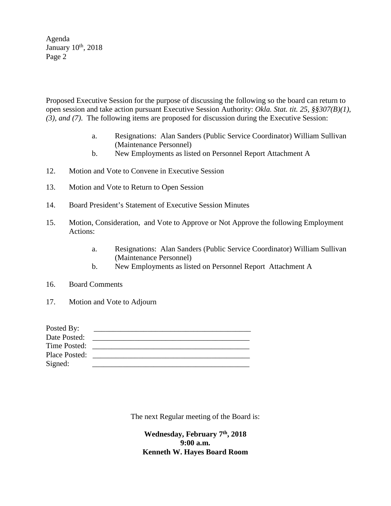Agenda January  $10^{th}$ , 2018 Page 2

Proposed Executive Session for the purpose of discussing the following so the board can return to open session and take action pursuant Executive Session Authority: *Okla. Stat. tit. 25, §§307(B)(1), (3), and (7)*. The following items are proposed for discussion during the Executive Session:

- a. Resignations: Alan Sanders (Public Service Coordinator) William Sullivan (Maintenance Personnel)
- b. New Employments as listed on Personnel Report Attachment A
- 12. Motion and Vote to Convene in Executive Session
- 13. Motion and Vote to Return to Open Session
- 14. Board President's Statement of Executive Session Minutes
- 15. Motion, Consideration, and Vote to Approve or Not Approve the following Employment Actions:
	- a. Resignations: Alan Sanders (Public Service Coordinator) William Sullivan (Maintenance Personnel)
	- b. New Employments as listed on Personnel Report Attachment A
- 16. Board Comments
- 17. Motion and Vote to Adjourn

| Posted By:    |  |
|---------------|--|
| Date Posted:  |  |
| Time Posted:  |  |
| Place Posted: |  |
| Signed:       |  |

The next Regular meeting of the Board is:

**Wednesday, February 7th, 2018 9:00 a.m. Kenneth W. Hayes Board Room**